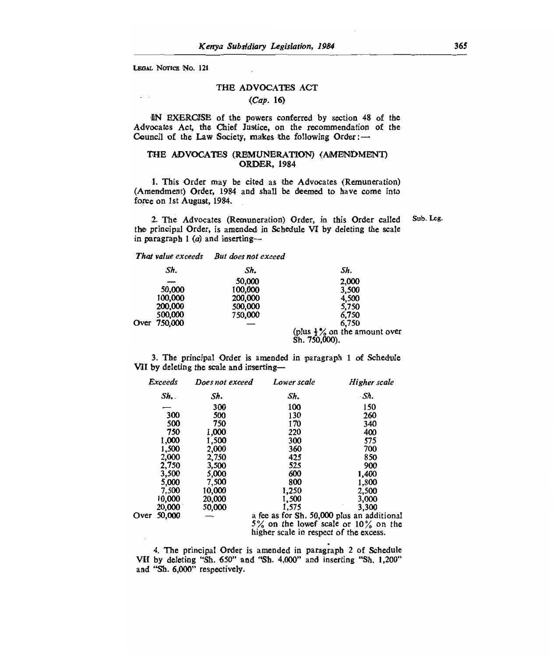LEGAL NOTICE No. 121

# THE ADVOCATES ACT

# *(Cap.* 16)

IN EXERCISE of the powers conferred by section 48 of the Advocates Act, the Chief Justice, on the recommendation of the Council of the Law Society, makes the following Order :-

### THE ADVOCATES (REMUNERATION) (AMENDMENT) ORDER, 1984

1. This Order may be cited as the Advocates (Remuneration) (Amendment) Order, 1984 and shall be deemed to have come into force on 1st August, 1984.

2. The Advocates (Remuneration) Order, in this Order called the principal Order, is amended in Schedule VI by deleting the scale in paragraph 1  $(a)$  and inserting-Sub. Leg.

| That value exceeds But does not exceed |
|----------------------------------------|
|                                        |

| Sh.          | Sh.     | Sh.                                                       |
|--------------|---------|-----------------------------------------------------------|
|              | 50,000  | 2,000                                                     |
| 50,000       | 100,000 | 3,500                                                     |
| 100,000      | 200,000 | 4,500                                                     |
| 200,000      | 500,000 | 5,750                                                     |
| 500,000      | 750,000 | 6.750                                                     |
| Over 750,000 |         | 6,750                                                     |
|              |         | (plus $\frac{1}{2}$ % on the amount over<br>Sh. 750,000). |

3. The principal Order is amended in paragraph 1 of Schedule VII by deleting the scale and inserting-

|      | <b>Exceeds</b> | Does not exceed | Lower scale                                | Higher scale |
|------|----------------|-----------------|--------------------------------------------|--------------|
|      | Sh.            | Sh.             | Sh.                                        | ·Sh.         |
|      |                | 300             | 100                                        | 150          |
|      | 300            | 500             | 130                                        | 260          |
|      | 500            | 750             | 170                                        | 340          |
|      | 750            | 1.000           | 220                                        | 400          |
|      | 1,000          | 1.500           | 300                                        | 575          |
|      | 1,500          | 2,000           | 360                                        | 700          |
|      | 2,000          | 2,750           | 425                                        | 850          |
|      | 2,750          | 3,500           | 525                                        | 900          |
|      | 3,500          | 5,000           | 600                                        | 1,400        |
|      | 5.000          | 7,500           | 800                                        | 1,800        |
|      | 7,500          | 10,000          | 1,250                                      | 2,500        |
|      | 10,000         | 20,000          | 1,500                                      | 3,000        |
|      | 20,000         | 50,000          | 1.575                                      | 3,300        |
| )ver | 50,000         |                 | a fee as for Sh. 50,000 plus an additional |              |
|      |                |                 | 5% on the lowef scale or $10\%$ on the     |              |
|      |                |                 | higher scale in respect of the excess.     |              |

4. The principal Order is amended in paragraph 2 of Schedule VII by deleting "Sh. 650" and "Sh. 4,000" and inserting "Sh. 1,200" and "Sh. 6,000" respectively.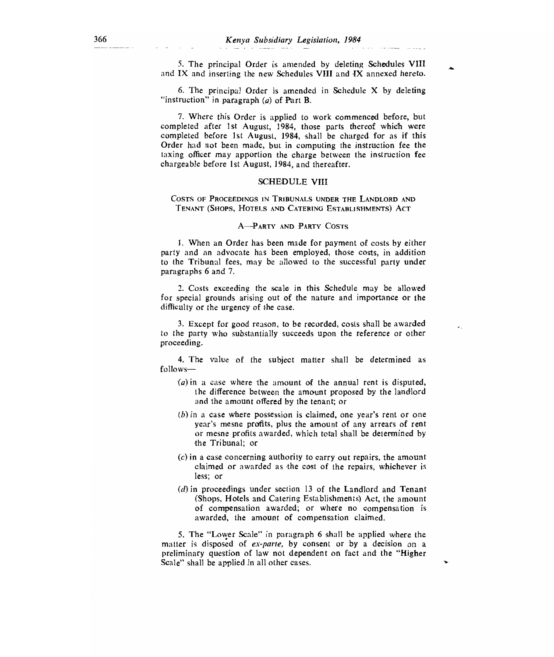5. The principal Order is amended by deleting Schedules VIII and IX and inserting the new Schedules VIII and IX annexed hereto.

6. The principal Order is amended in Schedule X by deleting "instruction" in paragraph (a) of Part B.

7. Where this Order is applied to work commenced before, but completed after 1st August, 1984, those parts thereof which were completed before 1st August, 1984, shall be charged for as if this Order had not been made, but in computing the instruction fee the taxing officer may apportion the charge between the instruction fee chargeable before 1st August, 1984, and thereafter.

### SCHEDULE VIII

COSTS OF PROCEEDINGS IN TRIBUNALS UNDER THE LANDLORD AND TENANT (SHOPS, HOTELS AND CATERING ESTABLISHMENTS) ACT

### A—PARTY AND PARTY COSTS

1. When an Order has been made for payment of costs by either party and an advocate has been employed, those costs, in addition to the Tribunal fees, may be allowed to the successful party under paragraphs 6 and 7.

2. Costs exceeding the scale in this Schedule may be allowed for special grounds arising out of the nature and importance or the difficulty or the urgency of the case.

3. Except for good reason, to be recorded, costs shall be awarded to the party who substantially succeeds upon the reference or other proceeding.

4. The value of the subject matter shall be determined as follows—

- $(a)$  in a case where the amount of the annual rent is disputed, the difference between the amount proposed by the landlord and the amount offered by the tenant; or
- (b) in a case where possession is claimed, one year's rent or one year's mesne profits, plus the amount of any arrears of rent or mesne profits awarded, which total shall be determined by the Tribunal; or
- (c) in a case concerning authority to carry out repairs, the amount claimed or awarded as the cost of the repairs, whichever is less; or
- (d) in proceedings under section 13 of the Landlord and Tenant (Shops, Hotels and Catering Establishments) Act, the amount of compensation awarded; or where no compensation is awarded, the amount of compensation claimed.

5. The "Lower Scale" in paragraph 6 shall be applied where the matter is disposed of *ex-parte,* by consent or by a decision on a preliminary question of law not dependent on fact and the "Higher Scale" shall be applied in all other cases.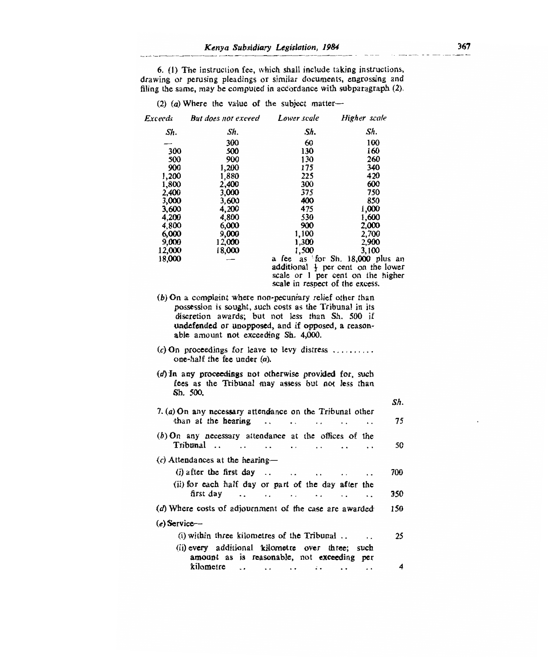6. (1) The instruction fee, which shall include taking instruction drawing or perusing pleadings or similar documents, engrossing ar filing the same, may be computed in accordance with subparagraph (2).

(2) (a) Where the value of the subject matter-

| Exceeds        | But does not exceed                                                                                                                                                                                                                                                    | Lower scale                                                                                   | Higher scale                                 |     |  |
|----------------|------------------------------------------------------------------------------------------------------------------------------------------------------------------------------------------------------------------------------------------------------------------------|-----------------------------------------------------------------------------------------------|----------------------------------------------|-----|--|
| Sh.            | Sh.                                                                                                                                                                                                                                                                    | Sh.                                                                                           | Sh.                                          |     |  |
|                | 300                                                                                                                                                                                                                                                                    | 60                                                                                            | 100                                          |     |  |
| 300            | 500                                                                                                                                                                                                                                                                    | 130                                                                                           | 160                                          |     |  |
| 500            | 900                                                                                                                                                                                                                                                                    | 130                                                                                           | 260                                          |     |  |
| 900            | 1,200                                                                                                                                                                                                                                                                  | 175                                                                                           | 340                                          |     |  |
| 1,200          | 1,880                                                                                                                                                                                                                                                                  | 225                                                                                           | 420                                          |     |  |
| 1,800          | 2,400                                                                                                                                                                                                                                                                  | 300                                                                                           | 600                                          |     |  |
| 2.400          | 3,000                                                                                                                                                                                                                                                                  | 375<br>400                                                                                    | 750<br>850                                   |     |  |
| 3,000<br>3,600 | 3,600<br>4,200                                                                                                                                                                                                                                                         | 475                                                                                           | 1,000                                        |     |  |
| 4,200          | 4,800                                                                                                                                                                                                                                                                  | 530                                                                                           | 1,600                                        |     |  |
| 4,800          | 6,000                                                                                                                                                                                                                                                                  | 900                                                                                           | 2,000                                        |     |  |
| 6,000          | 9,000                                                                                                                                                                                                                                                                  | 1.100                                                                                         | 2,700                                        |     |  |
| 9,000          | 12,000                                                                                                                                                                                                                                                                 | 1,300                                                                                         | 2,900                                        |     |  |
| 12.000         | 18,000                                                                                                                                                                                                                                                                 | 1.500                                                                                         | 3.100                                        |     |  |
| 18,000         |                                                                                                                                                                                                                                                                        | a fee $\overline{a}$ as for Sh. 18,000 plus an additional $\frac{1}{2}$ per cent on the lower |                                              |     |  |
|                |                                                                                                                                                                                                                                                                        |                                                                                               |                                              |     |  |
|                |                                                                                                                                                                                                                                                                        | scale or 1 per cent on the higher                                                             |                                              |     |  |
|                |                                                                                                                                                                                                                                                                        | scale in respect of the excess.                                                               |                                              |     |  |
|                | $(b)$ On a complaint where non-pecuniary relief other than<br>possession is sought, such costs as the Tribunal in its<br>discretion awards; but not less than Sh. 500 if<br>undefended or unopposed, and if opposed, a reason-<br>able amount not exceeding Sh. 4,000. |                                                                                               |                                              |     |  |
|                | (c) On proceedings for leave to levy distress<br>one-half the fee under $(a)$ .                                                                                                                                                                                        |                                                                                               |                                              |     |  |
|                | (d) In any proceedings not otherwise provided for, such<br>fees as the Tribunal may assess but not less than<br>Sh. 500.                                                                                                                                               |                                                                                               |                                              |     |  |
|                |                                                                                                                                                                                                                                                                        |                                                                                               |                                              | Sh. |  |
|                | 7. $(a)$ On any necessary attendance on the Tribunal other                                                                                                                                                                                                             |                                                                                               |                                              |     |  |
|                | than at the hearing                                                                                                                                                                                                                                                    | $\ddot{\phantom{0}}$<br>$\ddot{\phantom{a}}$                                                  |                                              | 75  |  |
|                |                                                                                                                                                                                                                                                                        |                                                                                               |                                              |     |  |
|                | $(b)$ On any necessary attendance at the offices of the<br>Tribunal<br>$\sim$ $\sim$                                                                                                                                                                                   | $\ddot{\phantom{0}}$<br>$\ddot{\phantom{a}}$<br>$\ddot{\phantom{0}}$                          | $\ddot{\phantom{a}}$                         | 50  |  |
|                | $(c)$ Attendances at the hearing-                                                                                                                                                                                                                                      |                                                                                               |                                              |     |  |
|                |                                                                                                                                                                                                                                                                        |                                                                                               |                                              |     |  |
|                | $(i)$ after the first day.                                                                                                                                                                                                                                             | $\ddot{\phantom{0}}$                                                                          |                                              | 700 |  |
|                | (ii) for each half day or part of the day after the                                                                                                                                                                                                                    |                                                                                               |                                              |     |  |
|                | first dav<br>$\ddotsc$<br>$\cdot$ .                                                                                                                                                                                                                                    | $\ddot{\phantom{0}}$<br>$\mathbf{L}$                                                          | $\ddot{\phantom{0}}$<br>$\ddot{\phantom{a}}$ | 350 |  |
|                | (d) Where costs of adjournment of the case are awarded                                                                                                                                                                                                                 |                                                                                               |                                              | 150 |  |
| $(e)$ Service- |                                                                                                                                                                                                                                                                        |                                                                                               |                                              |     |  |
|                | $(i)$ within three kilometres of the Tribunal                                                                                                                                                                                                                          |                                                                                               |                                              | 25  |  |
|                |                                                                                                                                                                                                                                                                        |                                                                                               | $\ddot{\phantom{0}}$                         |     |  |
|                | (ii) every additional kilometre over three; such                                                                                                                                                                                                                       |                                                                                               |                                              |     |  |
|                | amount as is reasonable, not exceeding                                                                                                                                                                                                                                 |                                                                                               | per                                          |     |  |
|                | kilometre<br>$\ddot{\phantom{0}}$                                                                                                                                                                                                                                      | ν.<br>$\ddot{\phantom{0}}$<br>$\ddot{\phantom{0}}$                                            |                                              | 4   |  |
|                |                                                                                                                                                                                                                                                                        |                                                                                               |                                              |     |  |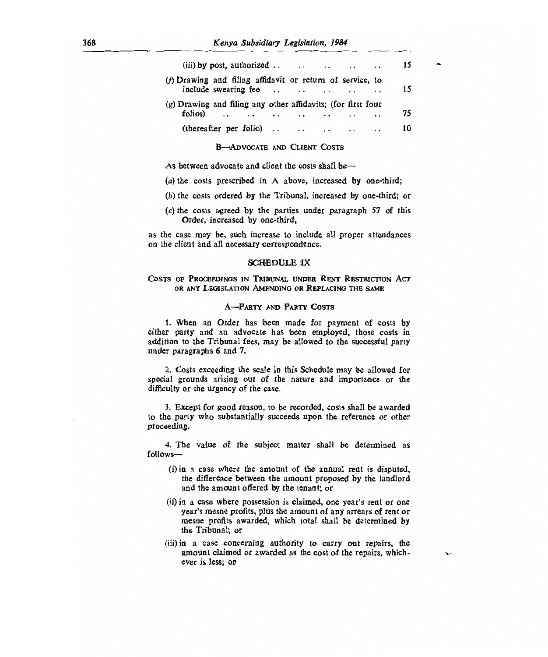|                                                              |  | 15 |  |  |
|--------------------------------------------------------------|--|----|--|--|
| (f) Drawing and filing affidavit or return of service, to    |  | 15 |  |  |
| (g) Drawing and filing any other affidavits; (for first four |  |    |  |  |
| folios)                                                      |  | 75 |  |  |
| (thereafter per folio) $\ldots$ $\ldots$ $\ldots$            |  | 10 |  |  |

### B--ADVOCATE AND CLIENT COSTS

As between advocate and client the costs shall be—

- $(a)$  the costs prescribed in A above, increased by one-third;
- (b) the costs ordered by the Tribunal, increased by one-third; or
- $(c)$  the costs agreed by the parties under paragraph 57 of this Order, increased by one-third,

as the case may be, such increase to include all proper attendances on the client and all necessary correspondence.

#### SCHEDULE IX

# COSTS OF PROCEEDINGS IN TRIBUNAL UNDER RENT RESTRICTION ACT OR ANY LEGISLATION AMENDING OR REPLACING THE SAME

### A--PARTY AND PARTY COSTS

1. When an Order has been made for payment of costs by either party and an advocate has been employed, those costs in addition to the Tribunal fees, may be allowed to the successful party under paragraphs 6 and 7.

2. Costs exceeding the scale in this Schedule may be allowed for special grounds arising out of the nature and importance or the difficulty or the urgency of the case.

3. Except for good reason, to be recorded, costs shall be awarded to the party who substantially succeeds upon the reference or other proceeding.

4. The value of the subject matter shall be determined as follows-

- (i)in a case where the amount of the annual rent is disputed, the difference between the amount proposed by the landlord and the amount offered by the tenant; or
- (ii)in a case where possession is claimed, one year's rent or one year's mesne profits, plus the amount of any arrears of rent or mesne profits awarded, which total shall be determined by the Tribunal; or
- (iii)in a case concerning authority to carry out repairs, the amount claimed or awarded as the cost of the repairs, whichever is less; or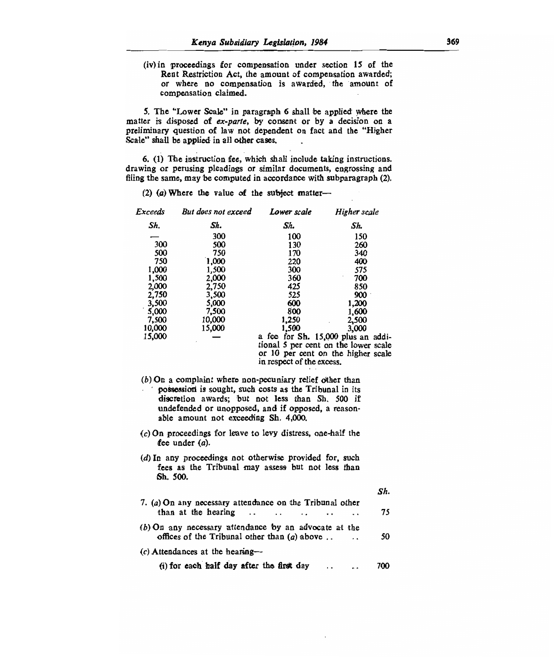(iv) in proceedings for compensation under section 15 of the Rent Restriction Act, the amount of compensation awarded; or where no compensation is awarded, the amount of compensation claimed.

5. The "Lower Scale" in paragraph 6 shall be applied where the matter is disposed of *ex-parte,* by consent or by a decision on a preliminary question of law not dependent on fact and the "Higher Scale" shall be applied in all other cases.

6. (1) The instruction fee, which shall include taking instructions. drawing or perusing pleadings or similar documents, engrossing and filing the same, may be computed in accordance with subparagraph (2).

*Exceeds Sh.*  300 *But does not exceed Sh.*  300 *Lower scale Higher scale Sh. Sh.*  100 150<br>130 260 300 500 130 260 500 750 170 340 750 1,000 220 400 1,000 1,500 300 575 1,500 2,000 360 700 2,000 2,750 425 850 2,750 3,500 525 900 3,500 5,000 600 1,200 5,000 7,500 800 1,600 7,500 10,000 1,250 2,500 10,000 15,000 1,500 3,000  $15,000$   $-$  a fee for Sh.  $15,000$  plus an additional 5 per cent on the lower scale or 10 per cent on the higher scale in respect of the excess.

- $(b)$  On a complaint where non-pecuniary relief other than possession is sought, such costs as the Tribunal in its discretion awards; but not less than Sh. 500 if undefended or unopposed, and if opposed, a reasonable amount not exceeding Sh. 4,000.
- (c)On proceedings for leave to levy distress, one-half the fee under *(a).*
- (d) In any proceedings not otherwise provided for, such fees as the Tribunal may assess but not less than Sh. 500.

| 7. (a) On any necessary attendance on the Tribunal other                                                |     |
|---------------------------------------------------------------------------------------------------------|-----|
| than at the hearing $\cdots$ $\cdots$ $\cdots$ $\cdots$                                                 | 75  |
| (b) On any necessary attendance by an advocate at the<br>offices of the Tribunal other than $(a)$ above | 50  |
| $(c)$ Attendances at the hearing-                                                                       |     |
| (i) for each half day after the first day $\ldots$                                                      | 700 |

*Sh.* 

(2) (a) Where the value of the subject matter—